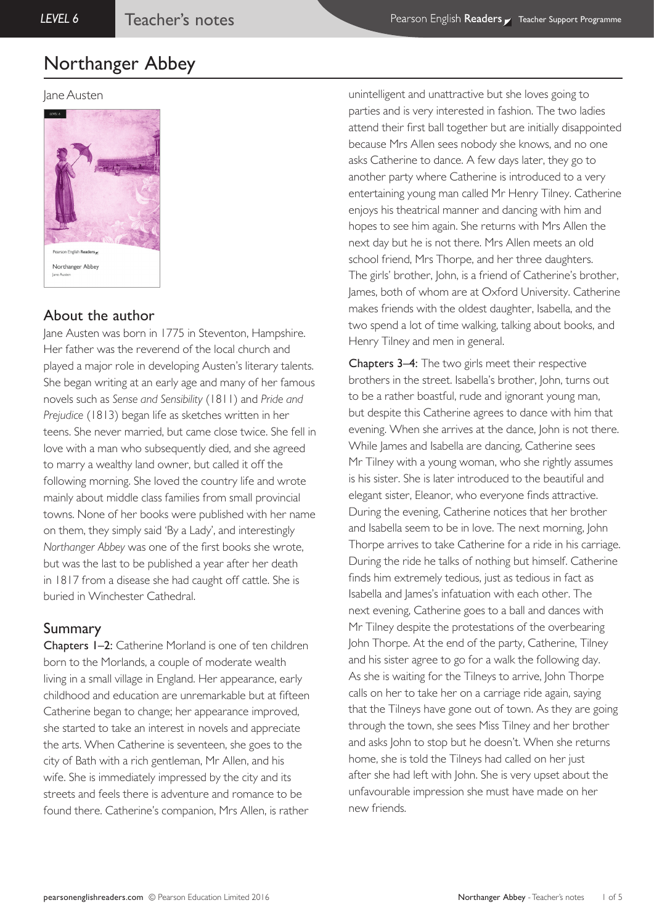## Jane Austen



# About the author

lane Austen was born in 1775 in Steventon, Hampshire. Her father was the reverend of the local church and played a major role in developing Austen's literary talents. She began writing at an early age and many of her famous novels such as *Sense and Sensibility* (1811) and *Pride and Prejudice* (1813) began life as sketches written in her teens. She never married, but came close twice. She fell in love with a man who subsequently died, and she agreed to marry a wealthy land owner, but called it off the following morning. She loved the country life and wrote mainly about middle class families from small provincial towns. None of her books were published with her name on them, they simply said 'By a Lady', and interestingly *Northanger Abbey* was one of the first books she wrote, but was the last to be published a year after her death in 1817 from a disease she had caught off cattle. She is buried in Winchester Cathedral.

# Summary

Chapters 1–2: Catherine Morland is one of ten children born to the Morlands, a couple of moderate wealth living in a small village in England. Her appearance, early childhood and education are unremarkable but at fifteen Catherine began to change; her appearance improved, she started to take an interest in novels and appreciate the arts. When Catherine is seventeen, she goes to the city of Bath with a rich gentleman, Mr Allen, and his wife. She is immediately impressed by the city and its streets and feels there is adventure and romance to be found there. Catherine's companion, Mrs Allen, is rather

unintelligent and unattractive but she loves going to parties and is very interested in fashion. The two ladies attend their first ball together but are initially disappointed because Mrs Allen sees nobody she knows, and no one asks Catherine to dance. A few days later, they go to another party where Catherine is introduced to a very entertaining young man called Mr Henry Tilney. Catherine enjoys his theatrical manner and dancing with him and hopes to see him again. She returns with Mrs Allen the next day but he is not there. Mrs Allen meets an old school friend, Mrs Thorpe, and her three daughters. The girls' brother, John, is a friend of Catherine's brother, James, both of whom are at Oxford University. Catherine makes friends with the oldest daughter, Isabella, and the two spend a lot of time walking, talking about books, and Henry Tilney and men in general.

Chapters 3–4: The two girls meet their respective brothers in the street. Isabella's brother, John, turns out to be a rather boastful, rude and ignorant young man, but despite this Catherine agrees to dance with him that evening. When she arrives at the dance, John is not there. While James and Isabella are dancing, Catherine sees Mr Tilney with a young woman, who she rightly assumes is his sister. She is later introduced to the beautiful and elegant sister, Eleanor, who everyone finds attractive. During the evening, Catherine notices that her brother and Isabella seem to be in love. The next morning, John Thorpe arrives to take Catherine for a ride in his carriage. During the ride he talks of nothing but himself. Catherine finds him extremely tedious, just as tedious in fact as Isabella and James's infatuation with each other. The next evening, Catherine goes to a ball and dances with Mr Tilney despite the protestations of the overbearing John Thorpe. At the end of the party, Catherine, Tilney and his sister agree to go for a walk the following day. As she is waiting for the Tilneys to arrive, John Thorpe calls on her to take her on a carriage ride again, saying that the Tilneys have gone out of town. As they are going through the town, she sees Miss Tilney and her brother and asks John to stop but he doesn't. When she returns home, she is told the Tilneys had called on her just after she had left with John. She is very upset about the unfavourable impression she must have made on her new friends.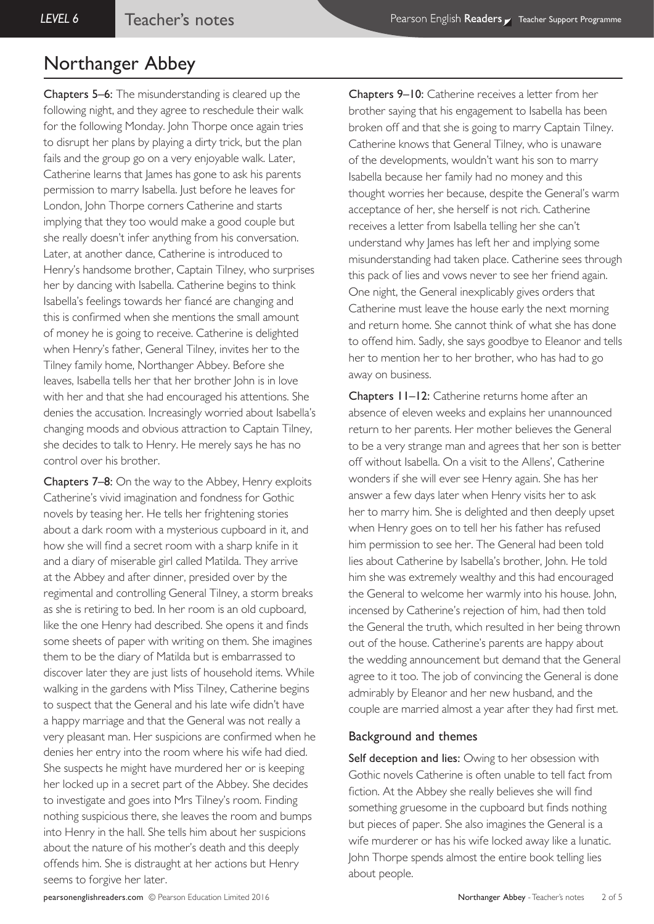Chapters 5–6: The misunderstanding is cleared up the following night, and they agree to reschedule their walk for the following Monday. John Thorpe once again tries to disrupt her plans by playing a dirty trick, but the plan fails and the group go on a very enjoyable walk. Later, Catherine learns that James has gone to ask his parents permission to marry Isabella. Just before he leaves for London, John Thorpe corners Catherine and starts implying that they too would make a good couple but she really doesn't infer anything from his conversation. Later, at another dance, Catherine is introduced to Henry's handsome brother, Captain Tilney, who surprises her by dancing with Isabella. Catherine begins to think Isabella's feelings towards her fiancé are changing and this is confirmed when she mentions the small amount of money he is going to receive. Catherine is delighted when Henry's father, General Tilney, invites her to the Tilney family home, Northanger Abbey. Before she leaves, Isabella tells her that her brother John is in love with her and that she had encouraged his attentions. She denies the accusation. Increasingly worried about Isabella's changing moods and obvious attraction to Captain Tilney, she decides to talk to Henry. He merely says he has no control over his brother.

Chapters 7–8: On the way to the Abbey, Henry exploits Catherine's vivid imagination and fondness for Gothic novels by teasing her. He tells her frightening stories about a dark room with a mysterious cupboard in it, and how she will find a secret room with a sharp knife in it and a diary of miserable girl called Matilda. They arrive at the Abbey and after dinner, presided over by the regimental and controlling General Tilney, a storm breaks as she is retiring to bed. In her room is an old cupboard, like the one Henry had described. She opens it and finds some sheets of paper with writing on them. She imagines them to be the diary of Matilda but is embarrassed to discover later they are just lists of household items. While walking in the gardens with Miss Tilney, Catherine begins to suspect that the General and his late wife didn't have a happy marriage and that the General was not really a very pleasant man. Her suspicions are confirmed when he denies her entry into the room where his wife had died. She suspects he might have murdered her or is keeping her locked up in a secret part of the Abbey. She decides to investigate and goes into Mrs Tilney's room. Finding nothing suspicious there, she leaves the room and bumps into Henry in the hall. She tells him about her suspicions about the nature of his mother's death and this deeply offends him. She is distraught at her actions but Henry seems to forgive her later.

Chapters 9–10: Catherine receives a letter from her brother saying that his engagement to Isabella has been broken off and that she is going to marry Captain Tilney. Catherine knows that General Tilney, who is unaware of the developments, wouldn't want his son to marry Isabella because her family had no money and this thought worries her because, despite the General's warm acceptance of her, she herself is not rich. Catherine receives a letter from Isabella telling her she can't understand why James has left her and implying some misunderstanding had taken place. Catherine sees through this pack of lies and vows never to see her friend again. One night, the General inexplicably gives orders that Catherine must leave the house early the next morning and return home. She cannot think of what she has done to offend him. Sadly, she says goodbye to Eleanor and tells her to mention her to her brother, who has had to go away on business.

Chapters 11–12: Catherine returns home after an absence of eleven weeks and explains her unannounced return to her parents. Her mother believes the General to be a very strange man and agrees that her son is better off without Isabella. On a visit to the Allens', Catherine wonders if she will ever see Henry again. She has her answer a few days later when Henry visits her to ask her to marry him. She is delighted and then deeply upset when Henry goes on to tell her his father has refused him permission to see her. The General had been told lies about Catherine by Isabella's brother, John. He told him she was extremely wealthy and this had encouraged the General to welcome her warmly into his house. John, incensed by Catherine's rejection of him, had then told the General the truth, which resulted in her being thrown out of the house. Catherine's parents are happy about the wedding announcement but demand that the General agree to it too. The job of convincing the General is done admirably by Eleanor and her new husband, and the couple are married almost a year after they had first met.

#### Background and themes

Self deception and lies: Owing to her obsession with Gothic novels Catherine is often unable to tell fact from fiction. At the Abbey she really believes she will find something gruesome in the cupboard but finds nothing but pieces of paper. She also imagines the General is a wife murderer or has his wife locked away like a lunatic. John Thorpe spends almost the entire book telling lies about people.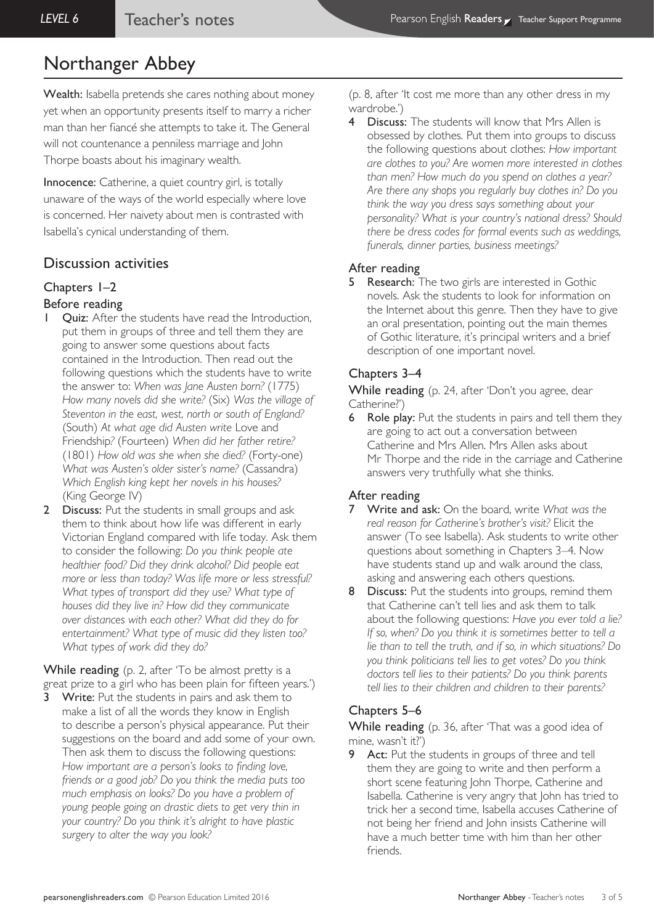Wealth: Isabella pretends she cares nothing about money yet when an opportunity presents itself to marry a richer man than her fiancé she attempts to take it. The General will not countenance a penniless marriage and John Thorpe boasts about his imaginary wealth.

Innocence: Catherine, a quiet country girl, is totally unaware of the ways of the world especially where love is concerned. Her naivety about men is contrasted with Isabella's cynical understanding of them.

# Discussion activities

# Chapters 1–2

## Before reading

- Quiz: After the students have read the Introduction, put them in groups of three and tell them they are going to answer some questions about facts contained in the Introduction. Then read out the following questions which the students have to write the answer to: *When was Jane Austen born?* (1775) *How many novels did she write?* (Six) *Was the village of Steventon in the east, west, north or south of England?*  (South) *At what age did Austen write* Love and Friendship*?* (Fourteen) *When did her father retire?*  (1801) *How old was she when she died?* (Forty-one) *What was Austen's older sister's name?* (Cassandra) *Which English king kept her novels in his houses?*  (King George IV)
- 2 Discuss: Put the students in small groups and ask them to think about how life was different in early Victorian England compared with life today. Ask them to consider the following: *Do you think people ate healthier food? Did they drink alcohol? Did people eat more or less than today? Was life more or less stressful? What types of transport did they use? What type of houses did they live in? How did they communicate over distances with each other? What did they do for entertainment? What type of music did they listen too? What types of work did they do?*

While reading (p. 2, after 'To be almost pretty is a great prize to a girl who has been plain for fifteen years.')

**3** Write: Put the students in pairs and ask them to make a list of all the words they know in English to describe a person's physical appearance. Put their suggestions on the board and add some of your own. Then ask them to discuss the following questions: *How important are a person's looks to finding love, friends or a good job? Do you think the media puts too much emphasis on looks? Do you have a problem of young people going on drastic diets to get very thin in your country? Do you think it's alright to have plastic surgery to alter the way you look?* 

(p. 8, after 'It cost me more than any other dress in my wardrobe.')

Discuss: The students will know that Mrs Allen is obsessed by clothes. Put them into groups to discuss the following questions about clothes: *How important are clothes to you? Are women more interested in clothes than men? How much do you spend on clothes a year? Are there any shops you regularly buy clothes in? Do you think the way you dress says something about your personality? What is your country's national dress? Should there be dress codes for formal events such as weddings, funerals, dinner parties, business meetings?*

### After reading

5 Research: The two girls are interested in Gothic novels. Ask the students to look for information on the Internet about this genre. Then they have to give an oral presentation, pointing out the main themes of Gothic literature, it's principal writers and a brief description of one important novel.

## Chapters 3–4

While reading (p. 24, after 'Don't you agree, dear Catherine?')

6 Role play: Put the students in pairs and tell them they are going to act out a conversation between Catherine and Mrs Allen. Mrs Allen asks about Mr Thorpe and the ride in the carriage and Catherine answers very truthfully what she thinks.

## After reading

- 7 Write and ask: On the board, write *What was the real reason for Catherine's brother's visit?* Elicit the answer (To see Isabella). Ask students to write other questions about something in Chapters 3–4. Now have students stand up and walk around the class, asking and answering each others questions.
- 8 Discuss: Put the students into groups, remind them that Catherine can't tell lies and ask them to talk about the following questions: *Have you ever told a lie? If so, when? Do you think it is sometimes better to tell a lie than to tell the truth, and if so, in which situations? Do you think politicians tell lies to get votes? Do you think doctors tell lies to their patients? Do you think parents tell lies to their children and children to their parents?*

# Chapters 5–6

While reading (p. 36, after 'That was a good idea of mine, wasn't it?')

**9** Act: Put the students in groups of three and tell them they are going to write and then perform a short scene featuring John Thorpe, Catherine and Isabella. Catherine is very angry that John has tried to trick her a second time, Isabella accuses Catherine of not being her friend and John insists Catherine will have a much better time with him than her other friends.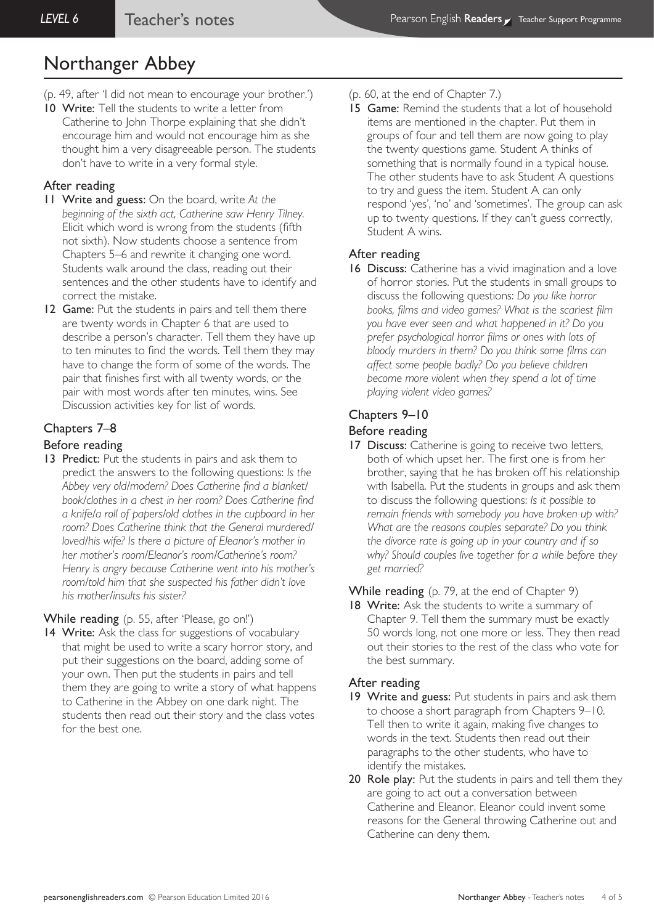- (p. 49, after 'I did not mean to encourage your brother.')
- 10 Write: Tell the students to write a letter from Catherine to John Thorpe explaining that she didn't encourage him and would not encourage him as she thought him a very disagreeable person. The students don't have to write in a very formal style.

#### After reading

- 11 Write and guess: On the board, write *At the beginning of the sixth act, Catherine saw Henry Tilney.* Elicit which word is wrong from the students (fifth not sixth). Now students choose a sentence from Chapters 5–6 and rewrite it changing one word. Students walk around the class, reading out their sentences and the other students have to identify and correct the mistake.
- 12 Game: Put the students in pairs and tell them there are twenty words in Chapter 6 that are used to describe a person's character. Tell them they have up to ten minutes to find the words. Tell them they may have to change the form of some of the words. The pair that finishes first with all twenty words, or the pair with most words after ten minutes, wins. See Discussion activities key for list of words.

### Chapters 7–8

#### Before reading

13 Predict: Put the students in pairs and ask them to predict the answers to the following questions: *Is the Abbey very old/modern? Does Catherine find a blanket/ book/clothes in a chest in her room? Does Catherine find a knife/a roll of papers/old clothes in the cupboard in her room? Does Catherine think that the General murdered/ loved/his wife? Is there a picture of Eleanor's mother in her mother's room/Eleanor's room/Catherine's room? Henry is angry because Catherine went into his mother's room/told him that she suspected his father didn't love his mother/insults his sister?* 

While reading (p. 55, after 'Please, go on!')

14 Write: Ask the class for suggestions of vocabulary that might be used to write a scary horror story, and put their suggestions on the board, adding some of your own. Then put the students in pairs and tell them they are going to write a story of what happens to Catherine in the Abbey on one dark night. The students then read out their story and the class votes for the best one.

- (p. 60, at the end of Chapter 7.)
- 15 Game: Remind the students that a lot of household items are mentioned in the chapter. Put them in groups of four and tell them are now going to play the twenty questions game. Student A thinks of something that is normally found in a typical house. The other students have to ask Student A questions to try and guess the item. Student A can only respond 'yes', 'no' and 'sometimes'. The group can ask up to twenty questions. If they can't guess correctly, Student A wins.

#### After reading

16 Discuss: Catherine has a vivid imagination and a love of horror stories. Put the students in small groups to discuss the following questions: *Do you like horror books, films and video games? What is the scariest film you have ever seen and what happened in it? Do you prefer psychological horror films or ones with lots of bloody murders in them? Do you think some films can affect some people badly? Do you believe children become more violent when they spend a lot of time playing violent video games?*

#### Chapters 9–10

#### Before reading

17 Discuss: Catherine is going to receive two letters, both of which upset her. The first one is from her brother, saying that he has broken off his relationship with Isabella. Put the students in groups and ask them to discuss the following questions: *Is it possible to remain friends with somebody you have broken up with? What are the reasons couples separate? Do you think the divorce rate is going up in your country and if so why? Should couples live together for a while before they get married?*

#### While reading (p. 79, at the end of Chapter 9)

18 Write: Ask the students to write a summary of Chapter 9. Tell them the summary must be exactly 50 words long, not one more or less. They then read out their stories to the rest of the class who vote for the best summary.

#### After reading

- 19 Write and guess: Put students in pairs and ask them to choose a short paragraph from Chapters 9–10. Tell then to write it again, making five changes to words in the text. Students then read out their paragraphs to the other students, who have to identify the mistakes.
- 20 Role play: Put the students in pairs and tell them they are going to act out a conversation between Catherine and Eleanor. Eleanor could invent some reasons for the General throwing Catherine out and Catherine can deny them.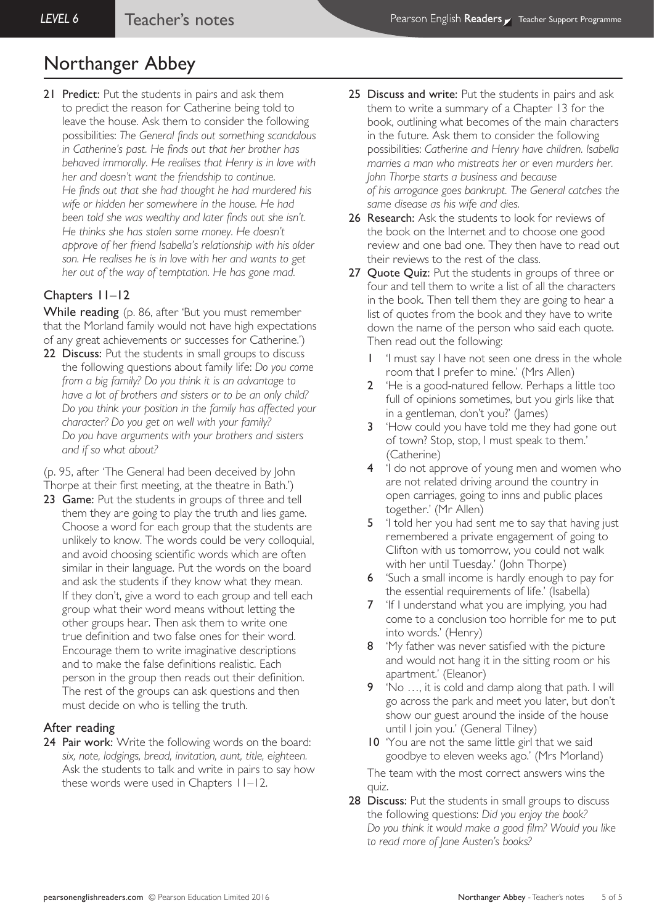21 Predict: Put the students in pairs and ask them to predict the reason for Catherine being told to leave the house. Ask them to consider the following possibilities: *The General finds out something scandalous in Catherine's past. He finds out that her brother has behaved immorally. He realises that Henry is in love with her and doesn't want the friendship to continue. He finds out that she had thought he had murdered his wife or hidden her somewhere in the house. He had been told she was wealthy and later finds out she isn't. He thinks she has stolen some money. He doesn't approve of her friend Isabella's relationship with his older son. He realises he is in love with her and wants to get her out of the way of temptation. He has gone mad.*

### Chapters 11–12

While reading (p. 86, after 'But you must remember that the Morland family would not have high expectations of any great achievements or successes for Catherine.')

22 Discuss: Put the students in small groups to discuss the following questions about family life: *Do you come from a big family? Do you think it is an advantage to have a lot of brothers and sisters or to be an only child? Do you think your position in the family has affected your character? Do you get on well with your family? Do you have arguments with your brothers and sisters and if so what about?*

(p. 95, after 'The General had been deceived by John Thorpe at their first meeting, at the theatre in Bath.')

23 Game: Put the students in groups of three and tell them they are going to play the truth and lies game. Choose a word for each group that the students are unlikely to know. The words could be very colloquial, and avoid choosing scientific words which are often similar in their language. Put the words on the board and ask the students if they know what they mean. If they don't, give a word to each group and tell each group what their word means without letting the other groups hear. Then ask them to write one true definition and two false ones for their word. Encourage them to write imaginative descriptions and to make the false definitions realistic. Each person in the group then reads out their definition. The rest of the groups can ask questions and then must decide on who is telling the truth.

#### After reading

24 Pair work: Write the following words on the board: *six, note, lodgings, bread, invitation, aunt, title, eighteen.*  Ask the students to talk and write in pairs to say how these words were used in Chapters 11–12.

- 25 Discuss and write: Put the students in pairs and ask them to write a summary of a Chapter 13 for the book, outlining what becomes of the main characters in the future. Ask them to consider the following possibilities: *Catherine and Henry have children. Isabella marries a man who mistreats her or even murders her. John Thorpe starts a business and because of his arrogance goes bankrupt. The General catches the same disease as his wife and dies.*
- 26 Research: Ask the students to look for reviews of the book on the Internet and to choose one good review and one bad one. They then have to read out their reviews to the rest of the class.
- 27 Quote Quiz: Put the students in groups of three or four and tell them to write a list of all the characters in the book. Then tell them they are going to hear a list of quotes from the book and they have to write down the name of the person who said each quote. Then read out the following:
	- 1 'I must say I have not seen one dress in the whole room that I prefer to mine.' (Mrs Allen)
	- 2 'He is a good-natured fellow. Perhaps a little too full of opinions sometimes, but you girls like that in a gentleman, don't you?' (James)
	- 3 How could you have told me they had gone out of town? Stop, stop, I must speak to them.' (Catherine)
	- 4 'I do not approve of young men and women who are not related driving around the country in open carriages, going to inns and public places together.' (Mr Allen)
	- 5 <sup>'</sup>I told her you had sent me to say that having just remembered a private engagement of going to Clifton with us tomorrow, you could not walk with her until Tuesday.' (John Thorpe)
	- 6 'Such a small income is hardly enough to pay for the essential requirements of life.' (Isabella)
	- 7 'If I understand what you are implying, you had come to a conclusion too horrible for me to put into words.' (Henry)
	- 8 'My father was never satisfied with the picture and would not hang it in the sitting room or his apartment.' (Eleanor)
	- 9 'No …, it is cold and damp along that path. I will go across the park and meet you later, but don't show our guest around the inside of the house until I join you.' (General Tilney)
	- 10 'You are not the same little girl that we said goodbye to eleven weeks ago.' (Mrs Morland) The team with the most correct answers wins the

quiz.

28 Discuss: Put the students in small groups to discuss the following questions: *Did you enjoy the book? Do you think it would make a good film? Would you like to read more of Jane Austen's books?*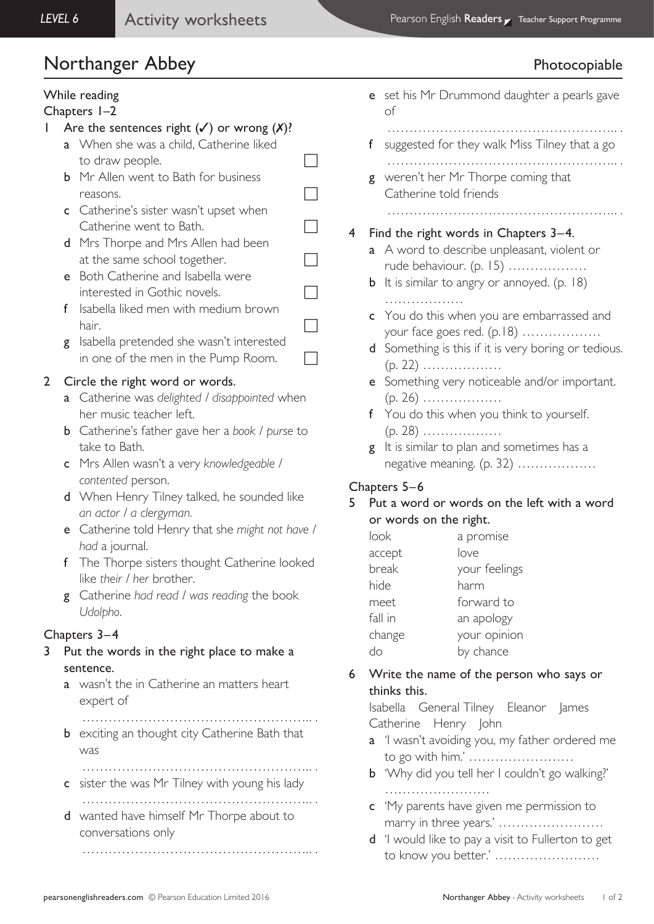# Northanger Abbey **Photocopiable**

# While reading

## Chapters 1–2

# 1 Are the sentences right  $(\checkmark)$  or wrong  $(\checkmark)$ ?

- a When she was a child, Catherine liked to draw people.  $\Box$
- **b** Mr Allen went to Bath for business reasons.
- c Catherine's sister wasn't upset when  $\Box$  Catherine went to Bath.
- d Mrs Thorpe and Mrs Allen had been at the same school together.
- e Both Catherine and Isabella were interested in Gothic novels.
- f Isabella liked men with medium brown hair.  $\Box$
- g Isabella pretended she wasn't interested in one of the men in the Pump Room.

# 2 Circle the right word or words.

- a Catherine was *delighted / disappointed* when her music teacher left.
- b Catherine's father gave her a *book / purse* to take to Bath.
- c Mrs Allen wasn't a very *knowledgeable / contented* person.
- d When Henry Tilney talked, he sounded like *an actor / a clergyman.*
- e Catherine told Henry that she *might not have / had* a journal.
- f The Thorpe sisters thought Catherine looked like *their / her* brother.
- g Catherine *had read / was reading* the book *Udolpho*.

# Chapters 3–4

- 3 Put the words in the right place to make a sentence.
	- a wasn't the in Catherine an matters heart expert of
		- ……………………………………………. . .
	- **b** exciting an thought city Catherine Bath that was
	- ……………………………………………. . . c sister the was Mr Tilney with young his lady ……………………………………………. . .
	- d wanted have himself Mr Thorpe about to conversations only

……………………………………………. . .

|   |                                       | e set his Mr Drummond daughter a pearls gave<br>оf                             |  |
|---|---------------------------------------|--------------------------------------------------------------------------------|--|
|   | f.                                    | .<br>suggested for they walk Miss Tilney that a go                             |  |
|   | g                                     | weren't her Mr Thorpe coming that<br>Catherine told friends                    |  |
|   |                                       | .                                                                              |  |
| 4 | Find the right words in Chapters 3-4. |                                                                                |  |
|   |                                       | a A word to describe unpleasant, violent or                                    |  |
|   |                                       | rude behaviour. (p. 15)<br><b>b</b> It is similar to angry or annoyed. (p. 18) |  |
|   |                                       | .<br>c You do this when you are embarrassed and<br>your face goes red. (p.18)  |  |
|   | d                                     | Something is this if it is very boring or tedious.<br>$(p. 22)$                |  |
|   | e –                                   | Something very noticeable and/or important.                                    |  |
|   |                                       | $(p. 26)$                                                                      |  |
|   |                                       | f You do this when you think to yourself.                                      |  |
|   |                                       | $(p. 28)$                                                                      |  |
|   | g                                     | It is similar to plan and sometimes has a                                      |  |
|   |                                       | negative meaning. (p. 32)                                                      |  |

# Chapters 5–6

5 Put a word or words on the left with a word or words on the right.

| look    | a promise     |
|---------|---------------|
| accept  | love          |
| break   | your feelings |
| hide    | harm          |
| meet    | forward to    |
| fall in | an apology    |
| change  | your opinion  |
|         | by chance     |

6 Write the name of the person who says or thinks this.

Isabella General Tilney Eleanor James Catherine Henry John

- a 'I wasn't avoiding you, my father ordered me to go with him.' ……………………
- **b** 'Why did you tell her I couldn't go walking?' ……………………………
- c 'My parents have given me permission to marry in three years.' ……………………
- d 'I would like to pay a visit to Fullerton to get to know you better.' ……………………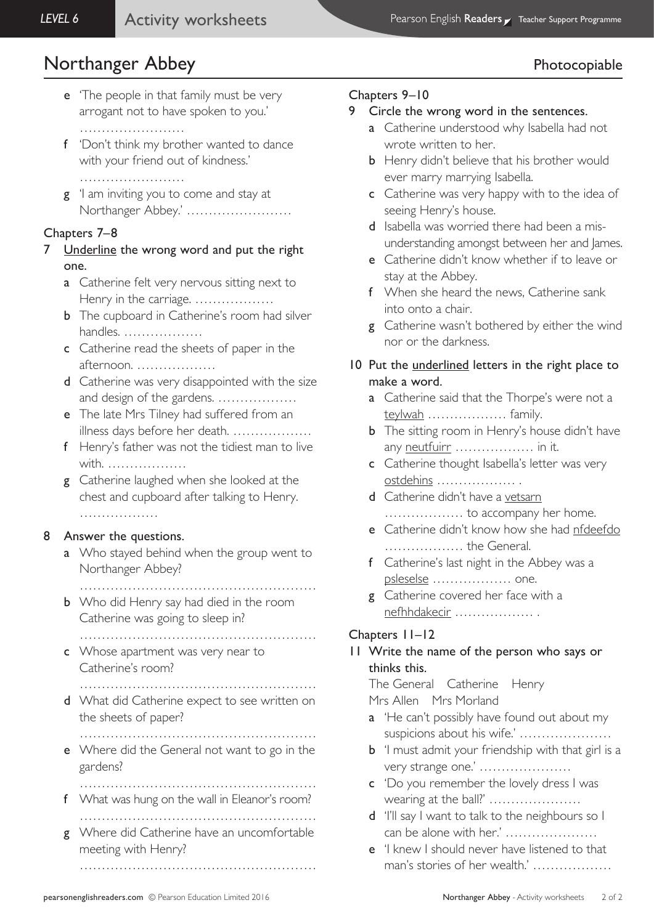# Northanger Abbey **Photocopiable**

- e 'The people in that family must be very arrogant not to have spoken to you.'
	- ……………………
- f 'Don't think my brother wanted to dance with your friend out of kindness.'
	- ……………………
- **g** 'I am inviting you to come and stay at Northanger Abbey.' ……………………

## Chapters 7–8

- 7 Underline the wrong word and put the right one.
	- **a** Catherine felt very nervous sitting next to Henry in the carriage. ………………
	- **b** The cupboard in Catherine's room had silver handles. ………………
	- c Catherine read the sheets of paper in the afternoon. ………………
	- d Catherine was very disappointed with the size and design of the gardens. ………………
	- e The late Mrs Tilney had suffered from an illness days before her death. ………………
	- f Henry's father was not the tidiest man to live with. ………………
	- g Catherine laughed when she looked at the chest and cupboard after talking to Henry. …………………

## 8 Answer the questions.

- a Who stayed behind when the group went to Northanger Abbey?
	- ………………………………………………
- **b** Who did Henry say had died in the room Catherine was going to sleep in?
- ……………………………………………… c Whose apartment was very near to
- Catherine's room? ………………………………………………
- d What did Catherine expect to see written on the sheets of paper?
	- ………………………………………………
- e Where did the General not want to go in the gardens?
- ……………………………………………… f What was hung on the wall in Eleanor's room? ………………………………………………
- g Where did Catherine have an uncomfortable meeting with Henry?

………………………………………………

## Chapters 9–10

- 9 Circle the wrong word in the sentences.
	- a Catherine understood why Isabella had not wrote written to her.
	- **b** Henry didn't believe that his brother would ever marry marrying Isabella.
	- c Catherine was very happy with to the idea of seeing Henry's house.
	- d Isabella was worried there had been a misunderstanding amongst between her and James.
	- e Catherine didn't know whether if to leave or stay at the Abbey.
	- f When she heard the news, Catherine sank into onto a chair.
	- **g** Catherine wasn't bothered by either the wind nor or the darkness.
- 10 Put the underlined letters in the right place to make a word.
	- a Catherine said that the Thorpe's were not a teylwah ……………… family.
	- **b** The sitting room in Henry's house didn't have any neutfuirr ……………… in it.
	- c Catherine thought Isabella's letter was very ostdehins ……………… .
	- d Catherine didn't have a vetsarn ……………… to accompany her home.
	- e Catherine didn't know how she had nfdeefdo ……………… the General.
	- f Catherine's last night in the Abbey was a psleselse ……………… one.
	- g Catherine covered her face with a nefhhdakecir ……………… .

# Chapters 11–12

# 11 Write the name of the person who says or thinks this.

The General Catherine Henry

Mrs Allen Mrs Morland

- a 'He can't possibly have found out about my suspicions about his wife.' …………………
- **b** 'I must admit your friendship with that girl is a very strange one.' …………………
- c 'Do you remember the lovely dress I was wearing at the ball?' …………………
- d 'I'll say I want to talk to the neighbours so I can be alone with her.' …………………
- e 'I knew I should never have listened to that man's stories of her wealth.' ………………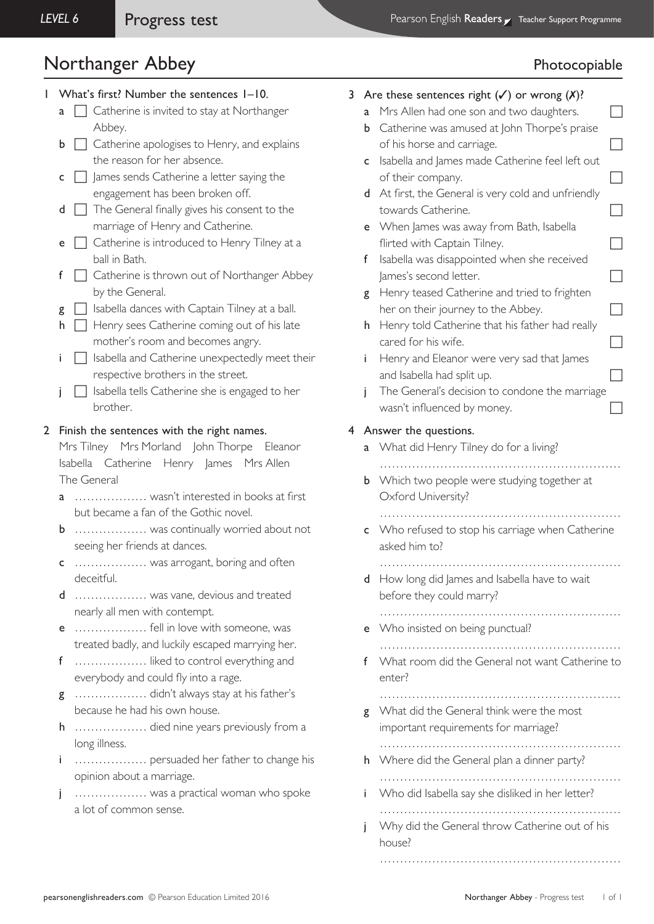# Northanger Abbey **Photocopiable**

## 1 What's first? Number the sentences 1–10.

- $a \Box$  Catherine is invited to stay at Northanger Abbey.
- $\mathbf{b}$   $\Box$  Catherine apologises to Henry, and explains the reason for her absence.
- $\mathsf{c}$   $\Box$  James sends Catherine a letter saying the engagement has been broken off.
- $d$   $\Box$  The General finally gives his consent to the marriage of Henry and Catherine.
- **e**  $\Box$  Catherine is introduced to Henry Tilney at a ball in Bath.
- $f \cap$  Catherine is thrown out of Northanger Abbey by the General.
- $g \Box$  Isabella dances with Captain Tilney at a ball.
- $h \Box$  Henry sees Catherine coming out of his late mother's room and becomes angry.
- $i \prod$  Isabella and Catherine unexpectedly meet their respective brothers in the street.
- $\overline{\phantom{a}}$  Isabella tells Catherine she is engaged to her brother.

### 2 Finish the sentences with the right names.

Mrs Tilney Mrs Morland John Thorpe Eleanor Isabella Catherine Henry James Mrs Allen The General

- a ……………… wasn't interested in books at first but became a fan of the Gothic novel.
- b ……………… was continually worried about not seeing her friends at dances.
- c ……………… was arrogant, boring and often deceitful.
- d ……………… was vane, devious and treated nearly all men with contempt.
- e ……………… fell in love with someone, was treated badly, and luckily escaped marrying her.
- f ……………… liked to control everything and everybody and could fly into a rage.
- g ……………… didn't always stay at his father's because he had his own house.
- h ……………… died nine years previously from a long illness.
- i ……………… persuaded her father to change his opinion about a marriage.
- j ……………… was a practical woman who spoke a lot of common sense.

# 3 Are these sentences right  $(\checkmark)$  or wrong  $(\checkmark)$ ?

- a Mrs Allen had one son and two daughters.
- **b** Catherine was amused at John Thorpe's praise of his horse and carriage.
- c Isabella and James made Catherine feel left out of their company.  $\Box$
- d At first, the General is very cold and unfriendly towards Catherine.  $\Box$
- e When James was away from Bath, Isabella flirted with Captain Tilney.
- f Isabella was disappointed when she received  $l$ ames's second letter.
- g Henry teased Catherine and tried to frighten her on their journey to the Abbey.  $\Box$
- h Henry told Catherine that his father had really cared for his wife.
- i Henry and Eleanor were very sad that James and Isabella had split up.  $\Box$
- i The General's decision to condone the marriage wasn't influenced by money.

## 4 Answer the questions.

- a What did Henry Tilney do for a living?
- …………………………………………………… **b** Which two people were studying together at Oxford University?
- …………………………………………………… c Who refused to stop his carriage when Catherine asked him to?
	- ……………………………………………………
- d How long did James and Isabella have to wait before they could marry?
- …………………………………………………… e Who insisted on being punctual?
	- ……………………………………………………
- f What room did the General not want Catherine to enter?
	- ……………………………………………………
- **g** What did the General think were the most important requirements for marriage? ……………………………………………………
- h Where did the General plan a dinner party?
	- ……………………………………………………
- i Who did Isabella say she disliked in her letter? ……………………………………………………
- j Why did the General throw Catherine out of his house?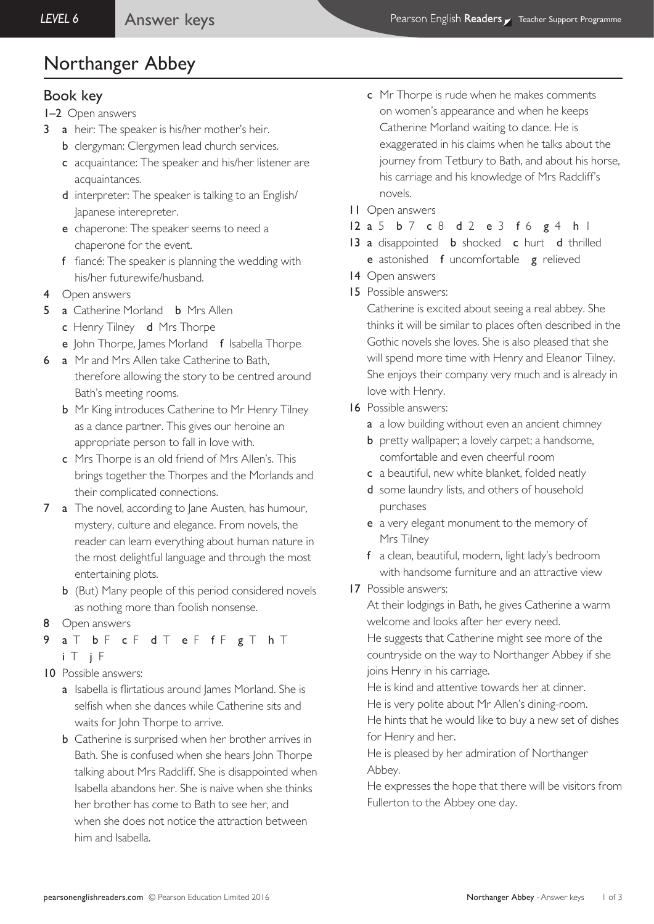# Book key

- 1–2 Open answers
- 3 a heir: The speaker is his/her mother's heir.
	- **b** clergyman: Clergymen lead church services.
	- c acquaintance: The speaker and his/her listener are acquaintances.
	- d interpreter: The speaker is talking to an English/ Japanese interepreter.
	- e chaperone: The speaker seems to need a chaperone for the event.
	- f fiancé: The speaker is planning the wedding with his/her futurewife/husband.
- 4 Open answers
- 5 a Catherine Morland **b** Mrs Allen
	- c Henry Tilney d Mrs Thorpe
	- e John Thorpe, James Morland f Isabella Thorpe
- 6 a Mr and Mrs Allen take Catherine to Bath,
	- therefore allowing the story to be centred around Bath's meeting rooms.
		- **b** Mr King introduces Catherine to Mr Henry Tilney as a dance partner. This gives our heroine an appropriate person to fall in love with.
		- c Mrs Thorpe is an old friend of Mrs Allen's. This brings together the Thorpes and the Morlands and their complicated connections.
- 7 a The novel, according to Jane Austen, has humour, mystery, culture and elegance. From novels, the reader can learn everything about human nature in the most delightful language and through the most entertaining plots.
	- **b** (But) Many people of this period considered novels as nothing more than foolish nonsense.
- 8 Open answers
- a T b F c F d T e F f F g T h T
	- i T j F
- 10 Possible answers:
	- a Isabella is flirtatious around James Morland. She is selfish when she dances while Catherine sits and waits for John Thorpe to arrive.
	- **b** Catherine is surprised when her brother arrives in Bath. She is confused when she hears John Thorpe talking about Mrs Radcliff. She is disappointed when Isabella abandons her. She is naive when she thinks her brother has come to Bath to see her, and when she does not notice the attraction between him and Isabella.
- c Mr Thorpe is rude when he makes comments on women's appearance and when he keeps Catherine Morland waiting to dance. He is exaggerated in his claims when he talks about the journey from Tetbury to Bath, and about his horse, his carriage and his knowledge of Mrs Radcliff's novels.
- 11 Open answers
- 12 a 5 b 7 c 8 d 2 e 3 f 6 g 4 h 1
- 13 a disappointed **b** shocked **c** hurt **d** thrilled e astonished f uncomfortable g relieved
- 14 Open answers
- 15 Possible answers:

Catherine is excited about seeing a real abbey. She thinks it will be similar to places often described in the Gothic novels she loves. She is also pleased that she will spend more time with Henry and Eleanor Tilney. She enjoys their company very much and is already in love with Henry.

- 16 Possible answers:
	- a a low building without even an ancient chimney
	- **b** pretty wallpaper; a lovely carpet; a handsome, comfortable and even cheerful room
	- c a beautiful, new white blanket, folded neatly
	- d some laundry lists, and others of household purchases
	- e a very elegant monument to the memory of Mrs Tilney
	- f a clean, beautiful, modern, light lady's bedroom with handsome furniture and an attractive view
- 17 Possible answers:

At their lodgings in Bath, he gives Catherine a warm welcome and looks after her every need.

He suggests that Catherine might see more of the countryside on the way to Northanger Abbey if she joins Henry in his carriage.

He is kind and attentive towards her at dinner. He is very polite about Mr Allen's dining-room.

He hints that he would like to buy a new set of dishes for Henry and her.

He is pleased by her admiration of Northanger Abbey.

He expresses the hope that there will be visitors from Fullerton to the Abbey one day.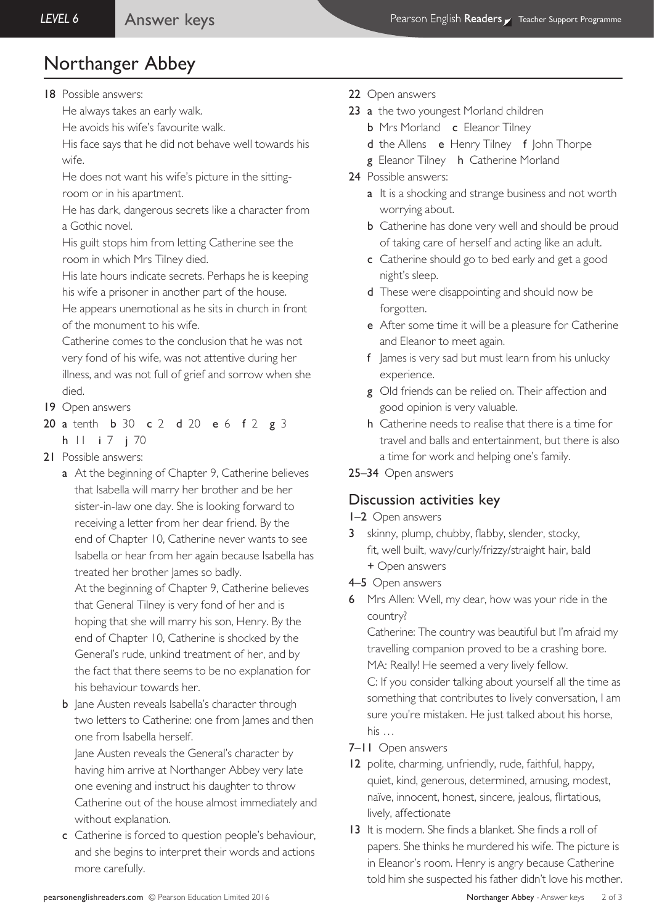18 Possible answers:

He always takes an early walk.

He avoids his wife's favourite walk.

His face says that he did not behave well towards his wife.

He does not want his wife's picture in the sittingroom or in his apartment.

He has dark, dangerous secrets like a character from a Gothic novel.

His guilt stops him from letting Catherine see the room in which Mrs Tilney died.

His late hours indicate secrets. Perhaps he is keeping his wife a prisoner in another part of the house.

He appears unemotional as he sits in church in front of the monument to his wife.

Catherine comes to the conclusion that he was not very fond of his wife, was not attentive during her illness, and was not full of grief and sorrow when she died.

- 19 Open answers
- 20 a tenth **b** 30 **c** 2 **d** 20 **e** 6 **f** 2 **g** 3
- h | | i 7 i 70
- 21 Possible answers:
	- a At the beginning of Chapter 9, Catherine believes that Isabella will marry her brother and be her sister-in-law one day. She is looking forward to receiving a letter from her dear friend. By the end of Chapter 10, Catherine never wants to see Isabella or hear from her again because Isabella has treated her brother James so badly.

 At the beginning of Chapter 9, Catherine believes that General Tilney is very fond of her and is hoping that she will marry his son, Henry. By the end of Chapter 10, Catherine is shocked by the General's rude, unkind treatment of her, and by the fact that there seems to be no explanation for his behaviour towards her.

**b** Jane Austen reveals Isabella's character through two letters to Catherine: one from lames and then one from Isabella herself.

 Jane Austen reveals the General's character by having him arrive at Northanger Abbey very late one evening and instruct his daughter to throw Catherine out of the house almost immediately and without explanation.

c Catherine is forced to question people's behaviour, and she begins to interpret their words and actions more carefully.

- 22 Open answers
- 23 a the two youngest Morland children
	- **b** Mrs Morland **c** Eleanor Tilney
	- d the Allens e Henry Tilney f John Thorpe
	- g Eleanor Tilney h Catherine Morland
- 24 Possible answers:
	- a It is a shocking and strange business and not worth worrying about.
	- **b** Catherine has done very well and should be proud of taking care of herself and acting like an adult.
	- c Catherine should go to bed early and get a good night's sleep.
	- d These were disappointing and should now be forgotten.
	- e After some time it will be a pleasure for Catherine and Eleanor to meet again.
	- f James is very sad but must learn from his unlucky experience.
	- g Old friends can be relied on. Their affection and good opinion is very valuable.
	- h Catherine needs to realise that there is a time for travel and balls and entertainment, but there is also a time for work and helping one's family.
- 25–34 Open answers

# Discussion activities key

### 1–2 Open answers

- 3 skinny, plump, chubby, flabby, slender, stocky, fit, well built, wavy/curly/frizzy/straight hair, bald
	- + Open answers
- 4–5 Open answers
- 6 Mrs Allen: Well, my dear, how was your ride in the country?

Catherine: The country was beautiful but I'm afraid my travelling companion proved to be a crashing bore. MA: Really! He seemed a very lively fellow.

C: If you consider talking about yourself all the time as something that contributes to lively conversation, I am sure you're mistaken. He just talked about his horse, his …

- 7–11 Open answers
- 12 polite, charming, unfriendly, rude, faithful, happy, quiet, kind, generous, determined, amusing, modest, naïve, innocent, honest, sincere, jealous, flirtatious, lively, affectionate
- 13 It is modern. She finds a blanket. She finds a roll of papers. She thinks he murdered his wife. The picture is in Eleanor's room. Henry is angry because Catherine told him she suspected his father didn't love his mother.